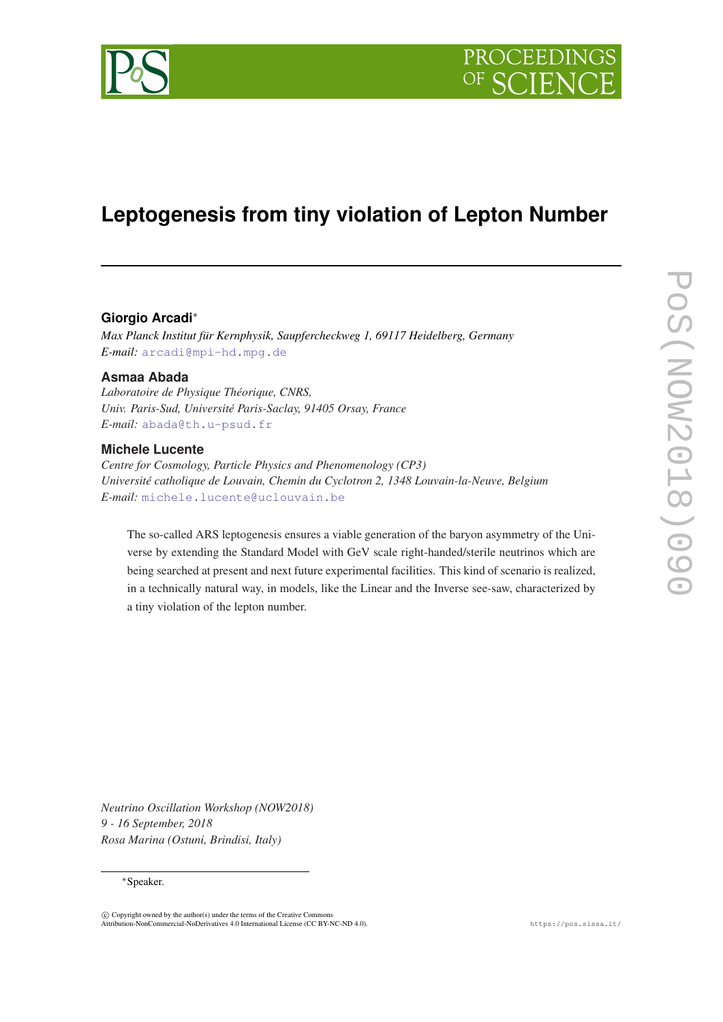

# **Leptogenesis from tiny violation of Lepton Number**

# **Giorgio Arcadi**<sup>∗</sup>

*Max Planck Institut für Kernphysik, Saupfercheckweg 1, 69117 Heidelberg, Germany E-mail:* [arcadi@mpi-hd.mpg.de](mailto:arcadi@mpi-hd.mpg.de)

## **Asmaa Abada**

*Laboratoire de Physique Théorique, CNRS, Univ. Paris-Sud, Université Paris-Saclay, 91405 Orsay, France E-mail:* [abada@th.u-psud.fr](mailto:abada@th.u-psud.fr)

## **Michele Lucente**

*Centre for Cosmology, Particle Physics and Phenomenology (CP3) Université catholique de Louvain, Chemin du Cyclotron 2, 1348 Louvain-la-Neuve, Belgium E-mail:* [michele.lucente@uclouvain.be](mailto:michele.lucente@uclouvain.be)

The so-called ARS leptogenesis ensures a viable generation of the baryon asymmetry of the Universe by extending the Standard Model with GeV scale right-handed/sterile neutrinos which are being searched at present and next future experimental facilities. This kind of scenario is realized, in a technically natural way, in models, like the Linear and the Inverse see-saw, characterized by a tiny violation of the lepton number.

*Neutrino Oscillation Workshop (NOW2018) 9 - 16 September, 2018 Rosa Marina (Ostuni, Brindisi, Italy)*

### <sup>∗</sup>Speaker.

 $(C)$  Copyright owned by the author(s) under the terms of the Creative Common Attribution-NonCommercial-NoDerivatives 4.0 International License (CC BY-NC-ND 4.0). https://pos.sissa.it/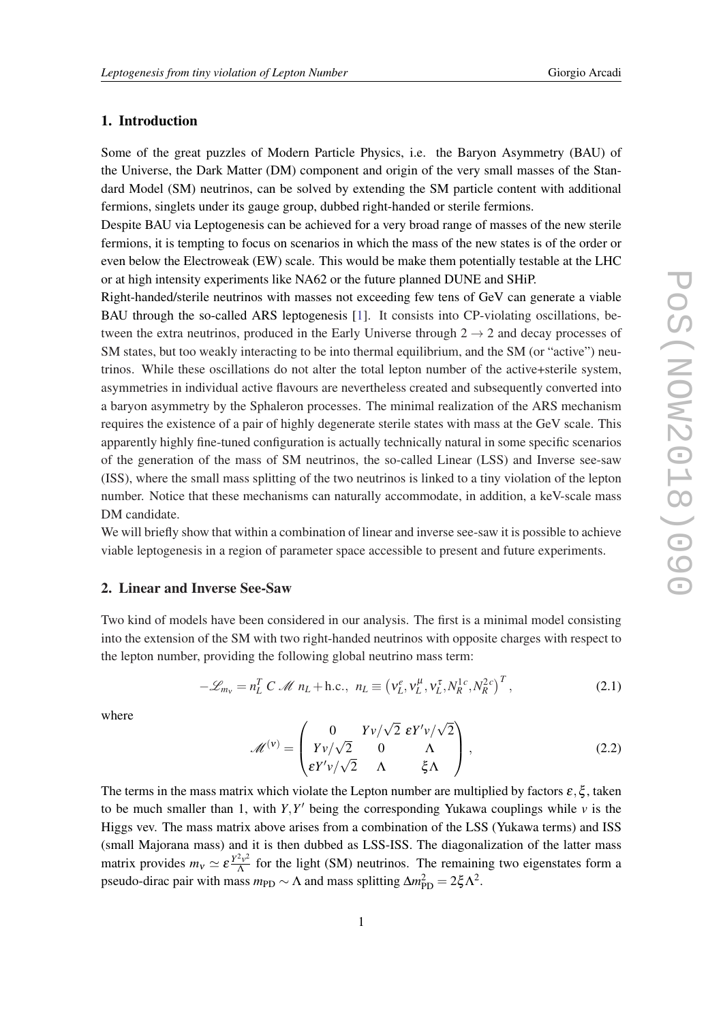# 1. Introduction

Some of the great puzzles of Modern Particle Physics, i.e. the Baryon Asymmetry (BAU) of the Universe, the Dark Matter (DM) component and origin of the very small masses of the Standard Model (SM) neutrinos, can be solved by extending the SM particle content with additional fermions, singlets under its gauge group, dubbed right-handed or sterile fermions.

Despite BAU via Leptogenesis can be achieved for a very broad range of masses of the new sterile fermions, it is tempting to focus on scenarios in which the mass of the new states is of the order or even below the Electroweak (EW) scale. This would be make them potentially testable at the LHC or at high intensity experiments like NA62 or the future planned DUNE and SHiP.

Right-handed/sterile neutrinos with masses not exceeding few tens of GeV can generate a viable BAU through the so-called ARS leptogenesis [[1](#page-3-0)]. It consists into CP-violating oscillations, between the extra neutrinos, produced in the Early Universe through  $2 \rightarrow 2$  and decay processes of SM states, but too weakly interacting to be into thermal equilibrium, and the SM (or "active") neutrinos. While these oscillations do not alter the total lepton number of the active+sterile system, asymmetries in individual active flavours are nevertheless created and subsequently converted into a baryon asymmetry by the Sphaleron processes. The minimal realization of the ARS mechanism requires the existence of a pair of highly degenerate sterile states with mass at the GeV scale. This apparently highly fine-tuned configuration is actually technically natural in some specific scenarios of the generation of the mass of SM neutrinos, the so-called Linear (LSS) and Inverse see-saw (ISS), where the small mass splitting of the two neutrinos is linked to a tiny violation of the lepton number. Notice that these mechanisms can naturally accommodate, in addition, a keV-scale mass DM candidate.

We will briefly show that within a combination of linear and inverse see-saw it is possible to achieve viable leptogenesis in a region of parameter space accessible to present and future experiments.

#### 2. Linear and Inverse See-Saw

Two kind of models have been considered in our analysis. The first is a minimal model consisting into the extension of the SM with two right-handed neutrinos with opposite charges with respect to the lepton number, providing the following global neutrino mass term:

$$
-\mathscr{L}_{m_V} = n_L^T C \mathscr{M} n_L + \text{h.c., } n_L \equiv \left(v_L^e, v_L^\mu, v_L^\tau, N_R^{1c}, N_R^{2c}\right)^T, \tag{2.1}
$$

where

$$
\mathcal{M}^{(v)} = \begin{pmatrix} 0 & Yv/\sqrt{2} \ \epsilon Y'v/\sqrt{2} \\ Yv/\sqrt{2} & 0 & \Lambda \\ \epsilon Y'v/\sqrt{2} & \Lambda & \xi \Lambda \end{pmatrix},
$$
(2.2)

The terms in the mass matrix which violate the Lepton number are multiplied by factors  $\varepsilon$ ,  $\xi$ , taken to be much smaller than 1, with  $Y, Y'$  being the corresponding Yukawa couplings while  $v$  is the Higgs vev. The mass matrix above arises from a combination of the LSS (Yukawa terms) and ISS (small Majorana mass) and it is then dubbed as LSS-ISS. The diagonalization of the latter mass matrix provides  $m_v \simeq \varepsilon \frac{Y^2 v^2}{\Lambda}$  $\frac{f^2 v^2}{\Lambda}$  for the light (SM) neutrinos. The remaining two eigenstates form a pseudo-dirac pair with mass  $m_{\text{PD}} \sim \Lambda$  and mass splitting  $\Delta m_{\text{PD}}^2 = 2\xi \Lambda^2$ .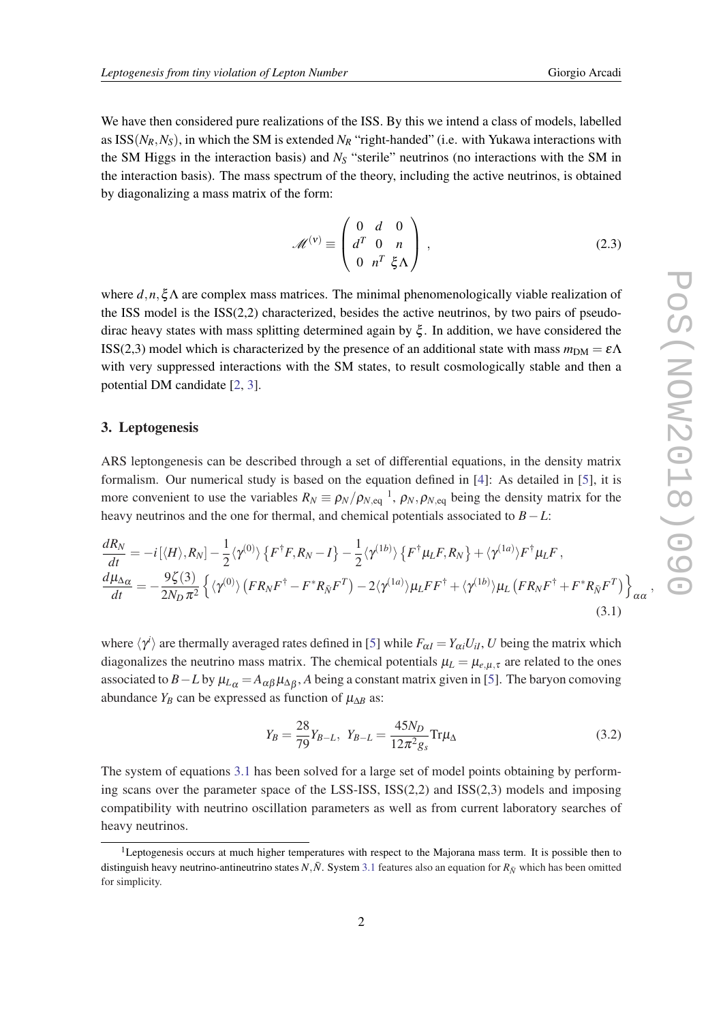We have then considered pure realizations of the ISS. By this we intend a class of models, labelled as  $ISS(N_R, N_S)$ , in which the SM is extended  $N_R$  "right-handed" (i.e. with Yukawa interactions with the SM Higgs in the interaction basis) and *N<sup>S</sup>* "sterile" neutrinos (no interactions with the SM in the interaction basis). The mass spectrum of the theory, including the active neutrinos, is obtained by diagonalizing a mass matrix of the form:

$$
\mathcal{M}^{(v)} \equiv \begin{pmatrix} 0 & d & 0 \\ d^T & 0 & n \\ 0 & n^T & \xi \Lambda \end{pmatrix},
$$
 (2.3)

where *d*,*n*,ξΛ are complex mass matrices. The minimal phenomenologically viable realization of the ISS model is the ISS(2,2) characterized, besides the active neutrinos, by two pairs of pseudodirac heavy states with mass splitting determined again by  $\xi$ . In addition, we have considered the ISS(2,3) model which is characterized by the presence of an additional state with mass  $m_{DM} = \varepsilon \Lambda$ with very suppressed interactions with the SM states, to result cosmologically stable and then a potential DM candidate [[2](#page-3-0), [3](#page-4-0)].

#### 3. Leptogenesis

ARS leptongenesis can be described through a set of differential equations, in the density matrix formalism. Our numerical study is based on the equation defined in [[4\]](#page-4-0): As detailed in [[5](#page-4-0)], it is more convenient to use the variables  $R_N \equiv \rho_N/\rho_{N,\text{eq}}^{-1}$ ,  $\rho_N, \rho_{N,\text{eq}}$  being the density matrix for the heavy neutrinos and the one for thermal, and chemical potentials associated to *B*−*L*:

$$
\frac{dR_N}{dt} = -i[\langle H \rangle, R_N] - \frac{1}{2} \langle \gamma^{(0)} \rangle \left\{ F^{\dagger} F, R_N - I \right\} - \frac{1}{2} \langle \gamma^{(1b)} \rangle \left\{ F^{\dagger} \mu_L F, R_N \right\} + \langle \gamma^{(1a)} \rangle F^{\dagger} \mu_L F,
$$
\n
$$
\frac{d\mu_{\Delta \alpha}}{dt} = -\frac{9\zeta(3)}{2N_D \pi^2} \left\{ \langle \gamma^{(0)} \rangle \left( F R_N F^{\dagger} - F^* R_{\bar{N}} F^T \right) - 2 \langle \gamma^{(1a)} \rangle \mu_L F F^{\dagger} + \langle \gamma^{(1b)} \rangle \mu_L \left( F R_N F^{\dagger} + F^* R_{\bar{N}} F^T \right) \right\}_{\alpha \alpha},
$$
\n(3.1)

where  $\langle \gamma^i \rangle$  are thermally averaged rates defined in [\[5\]](#page-4-0) while  $F_{\alpha} = Y_{\alpha i} U_{iI}$ , *U* being the matrix which diagonalizes the neutrino mass matrix. The chemical potentials  $\mu_L = \mu_{e,\mu,\tau}$  are related to the ones associated to *B*−*L* by  $\mu_{L\alpha}$  =  $A_{\alpha\beta}\mu_{\Delta\beta}$ , *A* being a constant matrix given in [[5](#page-4-0)]. The baryon comoving abundance  $Y_B$  can be expressed as function of  $\mu_{\Delta B}$  as:

$$
Y_B = \frac{28}{79} Y_{B-L}, \ Y_{B-L} = \frac{45N_D}{12\pi^2 g_s} \text{Tr}\mu_\Delta \tag{3.2}
$$

The system of equations 3.1 has been solved for a large set of model points obtaining by performing scans over the parameter space of the LSS-ISS, ISS(2,2) and ISS(2,3) models and imposing compatibility with neutrino oscillation parameters as well as from current laboratory searches of heavy neutrinos.

<sup>&</sup>lt;sup>1</sup>Leptogenesis occurs at much higher temperatures with respect to the Majorana mass term. It is possible then to distinguish heavy neutrino-antineutrino states  $N$ , $\bar{N}$ . System 3.1 features also an equation for  $R_{\bar{N}}$  which has been omitted for simplicity.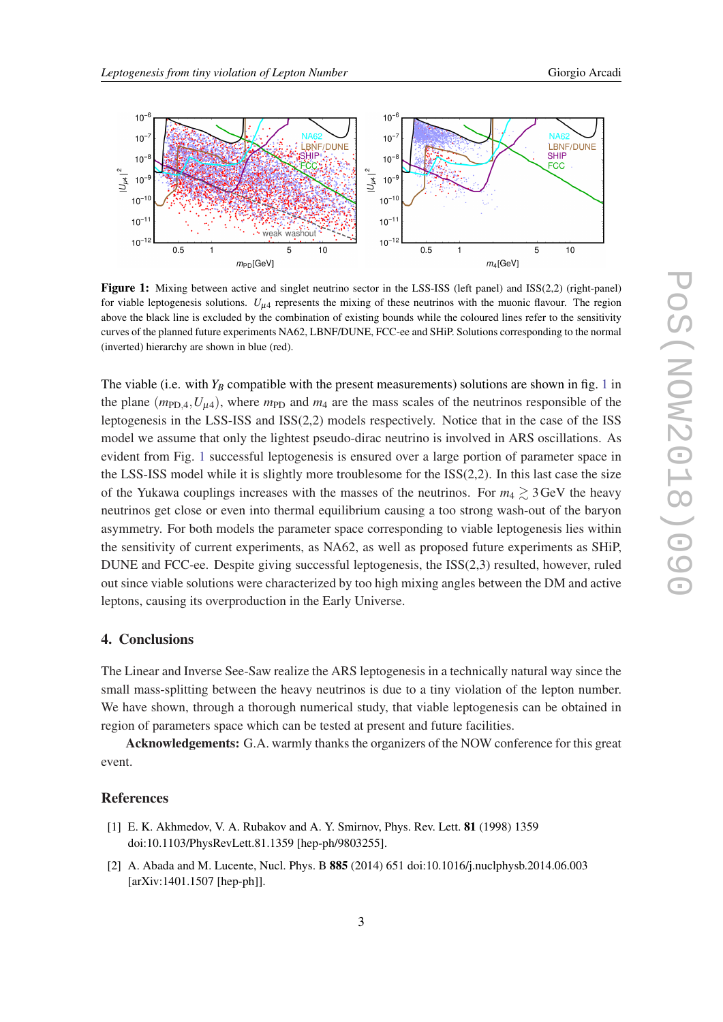<span id="page-3-0"></span>

Figure 1: Mixing between active and singlet neutrino sector in the LSS-ISS (left panel) and ISS(2,2) (right-panel) for viable leptogenesis solutions.  $U_{\mu 4}$  represents the mixing of these neutrinos with the muonic flavour. The region above the black line is excluded by the combination of existing bounds while the coloured lines refer to the sensitivity curves of the planned future experiments NA62, LBNF/DUNE, FCC-ee and SHiP. Solutions corresponding to the normal (inverted) hierarchy are shown in blue (red).

The viable (i.e. with  $Y_B$  compatible with the present measurements) solutions are shown in fig. 1 in the plane  $(m_{\text{PD}}, u, U_{\mu 4})$ , where  $m_{\text{PD}}$  and  $m_4$  are the mass scales of the neutrinos responsible of the leptogenesis in the LSS-ISS and ISS(2,2) models respectively. Notice that in the case of the ISS model we assume that only the lightest pseudo-dirac neutrino is involved in ARS oscillations. As evident from Fig. 1 successful leptogenesis is ensured over a large portion of parameter space in the LSS-ISS model while it is slightly more troublesome for the ISS(2,2). In this last case the size of the Yukawa couplings increases with the masses of the neutrinos. For  $m_4 \gtrsim 3 \text{ GeV}$  the heavy neutrinos get close or even into thermal equilibrium causing a too strong wash-out of the baryon asymmetry. For both models the parameter space corresponding to viable leptogenesis lies within the sensitivity of current experiments, as NA62, as well as proposed future experiments as SHiP, DUNE and FCC-ee. Despite giving successful leptogenesis, the ISS(2,3) resulted, however, ruled out since viable solutions were characterized by too high mixing angles between the DM and active leptons, causing its overproduction in the Early Universe.

### 4. Conclusions

The Linear and Inverse See-Saw realize the ARS leptogenesis in a technically natural way since the small mass-splitting between the heavy neutrinos is due to a tiny violation of the lepton number. We have shown, through a thorough numerical study, that viable leptogenesis can be obtained in region of parameters space which can be tested at present and future facilities.

Acknowledgements: G.A. warmly thanks the organizers of the NOW conference for this great event.

# References

- [1] E. K. Akhmedov, V. A. Rubakov and A. Y. Smirnov, Phys. Rev. Lett. 81 (1998) 1359 doi:10.1103/PhysRevLett.81.1359 [hep-ph/9803255].
- [2] A. Abada and M. Lucente, Nucl. Phys. B 885 (2014) 651 doi:10.1016/j.nuclphysb.2014.06.003 [arXiv:1401.1507 [hep-ph]].